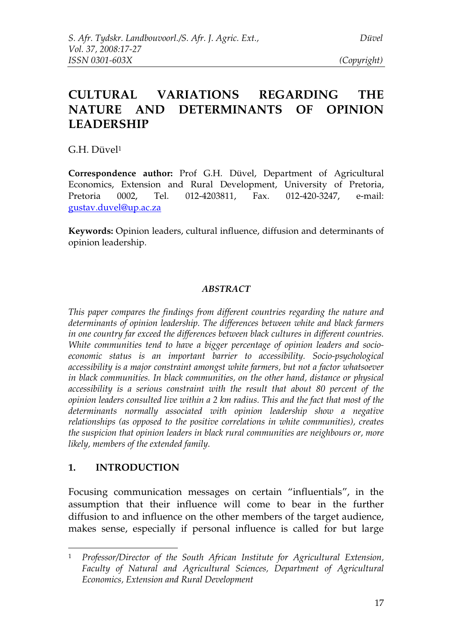# **CULTURAL VARIATIONS REGARDING THE NATURE AND DETERMINANTS OF OPINION LEADERSHIP**

G.H. Düvel 1

**Correspondence author:** Prof G.H. Düvel, Department of Agricultural Economics, Extension and Rural Development, University of Pretoria, Pretoria 0002, Tel. 012-4203811, Fax. 012-420-3247, e-mail: gustav.duvel@up.ac.za

**Keywords:** Opinion leaders, cultural influence, diffusion and determinants of opinion leadership.

### *ABSTRACT*

*This paper compares the findings from different countries regarding the nature and determinants of opinion leadership. The differences between white and black farmers in one country far exceed the differences between black cultures in different countries. White communities tend to have a bigger percentage of opinion leaders and socioeconomic status is an important barrier to accessibility. Socio-psychological accessibility is a major constraint amongst white farmers, but not a factor whatsoever in black communities. In black communities, on the other hand, distance or physical accessibility is a serious constraint with the result that about 80 percent of the opinion leaders consulted live within a 2 km radius. This and the fact that most of the determinants normally associated with opinion leadership show a negative relationships (as opposed to the positive correlations in white communities), creates the suspicion that opinion leaders in black rural communities are neighbours or, more likely, members of the extended family.*

### **1. INTRODUCTION**

Focusing communication messages on certain "influentials", in the assumption that their influence will come to bear in the further diffusion to and influence on the other members of the target audience, makes sense, especially if personal influence is called for but large

<sup>1</sup> *Professor/Director of the South African Institute for Agricultural Extension, Faculty of Natural and Agricultural Sciences, Department of Agricultural Economics, Extension and Rural Development*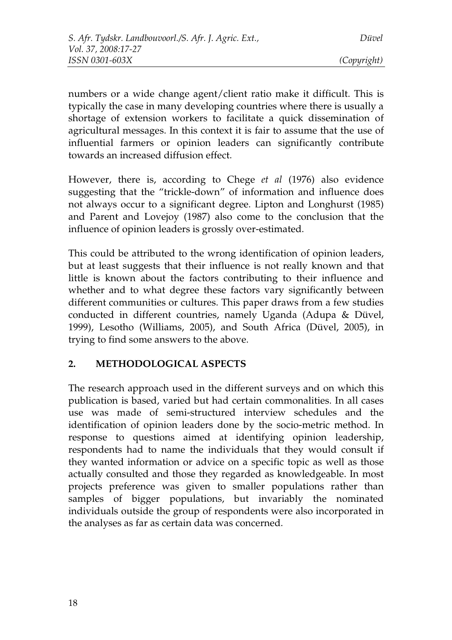numbers or a wide change agent/client ratio make it difficult. This is typically the case in many developing countries where there is usually a shortage of extension workers to facilitate a quick dissemination of agricultural messages. In this context it is fair to assume that the use of influential farmers or opinion leaders can significantly contribute towards an increased diffusion effect.

However, there is, according to Chege *et al* (1976) also evidence suggesting that the "trickle-down" of information and influence does not always occur to a significant degree. Lipton and Longhurst (1985) and Parent and Lovejoy (1987) also come to the conclusion that the influence of opinion leaders is grossly over-estimated.

This could be attributed to the wrong identification of opinion leaders, but at least suggests that their influence is not really known and that little is known about the factors contributing to their influence and whether and to what degree these factors vary significantly between different communities or cultures. This paper draws from a few studies conducted in different countries, namely Uganda (Adupa & Düvel, 1999), Lesotho (Williams, 2005), and South Africa (Düvel, 2005), in trying to find some answers to the above.

## **2. METHODOLOGICAL ASPECTS**

The research approach used in the different surveys and on which this publication is based, varied but had certain commonalities. In all cases use was made of semi-structured interview schedules and the identification of opinion leaders done by the socio-metric method. In response to questions aimed at identifying opinion leadership, respondents had to name the individuals that they would consult if they wanted information or advice on a specific topic as well as those actually consulted and those they regarded as knowledgeable. In most projects preference was given to smaller populations rather than samples of bigger populations, but invariably the nominated individuals outside the group of respondents were also incorporated in the analyses as far as certain data was concerned.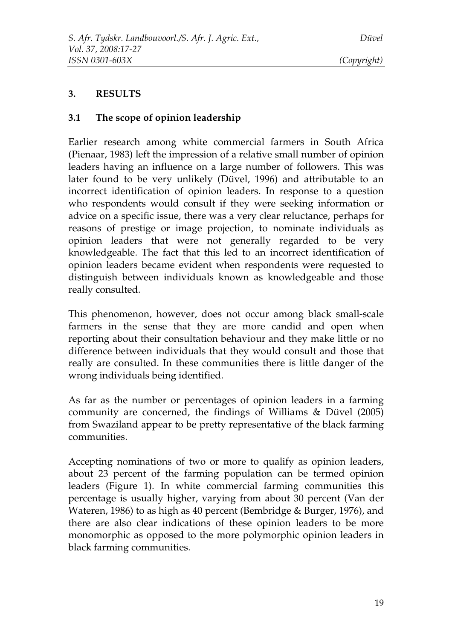### **3. RESULTS**

### **3.1 The scope of opinion leadership**

Earlier research among white commercial farmers in South Africa (Pienaar, 1983) left the impression of a relative small number of opinion leaders having an influence on a large number of followers. This was later found to be very unlikely (Düvel, 1996) and attributable to an incorrect identification of opinion leaders. In response to a question who respondents would consult if they were seeking information or advice on a specific issue, there was a very clear reluctance, perhaps for reasons of prestige or image projection, to nominate individuals as opinion leaders that were not generally regarded to be very knowledgeable. The fact that this led to an incorrect identification of opinion leaders became evident when respondents were requested to distinguish between individuals known as knowledgeable and those really consulted.

This phenomenon, however, does not occur among black small-scale farmers in the sense that they are more candid and open when reporting about their consultation behaviour and they make little or no difference between individuals that they would consult and those that really are consulted. In these communities there is little danger of the wrong individuals being identified.

As far as the number or percentages of opinion leaders in a farming community are concerned, the findings of Williams & Düvel (2005) from Swaziland appear to be pretty representative of the black farming communities.

Accepting nominations of two or more to qualify as opinion leaders, about 23 percent of the farming population can be termed opinion leaders (Figure 1). In white commercial farming communities this percentage is usually higher, varying from about 30 percent (Van der Wateren, 1986) to as high as 40 percent (Bembridge & Burger, 1976), and there are also clear indications of these opinion leaders to be more monomorphic as opposed to the more polymorphic opinion leaders in black farming communities.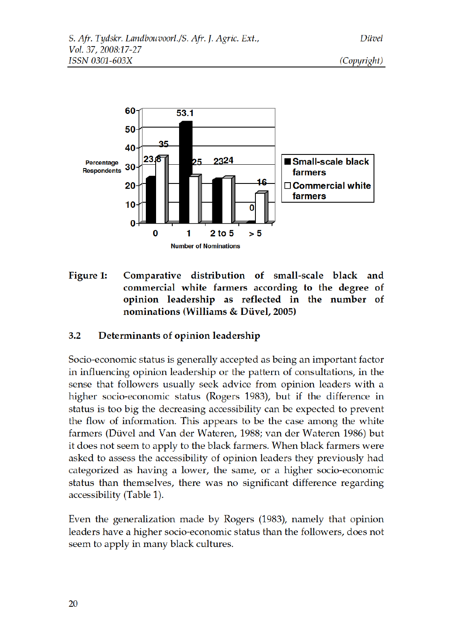

Figure 1: Comparative distribution of small-scale black and commercial white farmers according to the degree of opinion leadership as reflected in the number of nominations (Williams & Düvel, 2005)

#### $3.2$ Determinants of opinion leadership

Socio-economic status is generally accepted as being an important factor in influencing opinion leadership or the pattern of consultations, in the sense that followers usually seek advice from opinion leaders with a higher socio-economic status (Rogers 1983), but if the difference in status is too big the decreasing accessibility can be expected to prevent the flow of information. This appears to be the case among the white farmers (Düvel and Van der Wateren, 1988; van der Wateren 1986) but it does not seem to apply to the black farmers. When black farmers were asked to assess the accessibility of opinion leaders they previously had categorized as having a lower, the same, or a higher socio-economic status than themselves, there was no significant difference regarding accessibility (Table 1).

Even the generalization made by Rogers (1983), namely that opinion leaders have a higher socio-economic status than the followers, does not seem to apply in many black cultures.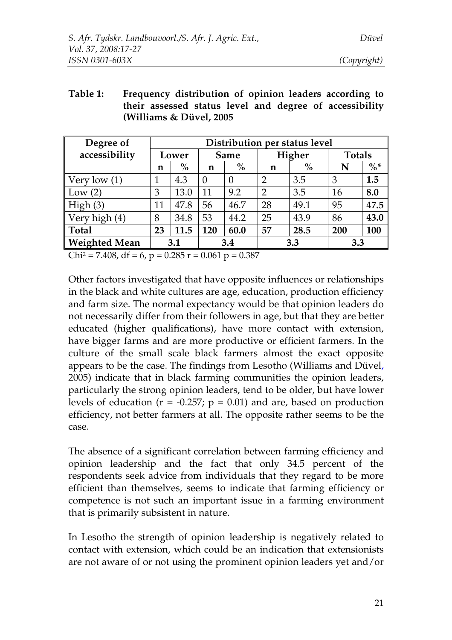| Table 1: | Frequency distribution of opinion leaders according to  |  |  |  |  |  |  |
|----------|---------------------------------------------------------|--|--|--|--|--|--|
|          | their assessed status level and degree of accessibility |  |  |  |  |  |  |
|          | (Williams $\&$ Düvel, 2005                              |  |  |  |  |  |  |

| Degree of            | Distribution per status level |               |             |          |                |               |               |        |
|----------------------|-------------------------------|---------------|-------------|----------|----------------|---------------|---------------|--------|
| accessibility        | Lower                         |               | <b>Same</b> |          | Higher         |               | <b>Totals</b> |        |
|                      | n                             | $\frac{0}{0}$ | $\mathbf n$ | $\%$     | n              | $\frac{0}{0}$ | N             | $\% *$ |
| Very low $(1)$       |                               | 4.3           | $\Omega$    | $\theta$ | $\overline{2}$ | 3.5           | 3             | 1.5    |
| Low $(2)$            | 3                             | 13.0          | 11          | 9.2      | $\overline{2}$ | 3.5           | 16            | 8.0    |
| High(3)              | 11                            | 47.8          | 56          | 46.7     | 28             | 49.1          | 95            | 47.5   |
| Very high (4)        | 8                             | 34.8          | 53          | 44.2     | 25             | 43.9          | 86            | 43.0   |
| <b>Total</b>         | 23                            | 11.5          | 120         | 60.0     | 57             | 28.5          | 200           | 100    |
| <b>Weighted Mean</b> | 3.1                           |               | 3.4         |          | 3.3            |               | 3.3           |        |

 $Chi^2 = 7.408$ , df = 6, p = 0.285 r = 0.061 p = 0.387

Other factors investigated that have opposite influences or relationships in the black and white cultures are age, education, production efficiency and farm size. The normal expectancy would be that opinion leaders do not necessarily differ from their followers in age, but that they are better educated (higher qualifications), have more contact with extension, have bigger farms and are more productive or efficient farmers. In the culture of the small scale black farmers almost the exact opposite appears to be the case. The findings from Lesotho (Williams and Düvel, 2005) indicate that in black farming communities the opinion leaders, particularly the strong opinion leaders, tend to be older, but have lower levels of education ( $r = -0.257$ ;  $p = 0.01$ ) and are, based on production efficiency, not better farmers at all. The opposite rather seems to be the case.

The absence of a significant correlation between farming efficiency and opinion leadership and the fact that only 34.5 percent of the respondents seek advice from individuals that they regard to be more efficient than themselves, seems to indicate that farming efficiency or competence is not such an important issue in a farming environment that is primarily subsistent in nature.

In Lesotho the strength of opinion leadership is negatively related to contact with extension, which could be an indication that extensionists are not aware of or not using the prominent opinion leaders yet and/or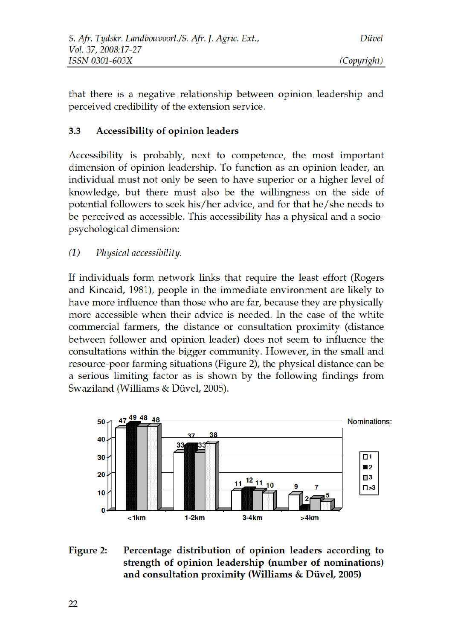that there is a negative relationship between opinion leadership and perceived credibility of the extension service.

#### $3.3$ Accessibility of opinion leaders

Accessibility is probably, next to competence, the most important dimension of opinion leadership. To function as an opinion leader, an individual must not only be seen to have superior or a higher level of knowledge, but there must also be the willingness on the side of potential followers to seek his/her advice, and for that he/she needs to be perceived as accessible. This accessibility has a physical and a sociopsychological dimension:

 $(1)$ Physical accessibility.

If individuals form network links that require the least effort (Rogers and Kincaid, 1981), people in the immediate environment are likely to have more influence than those who are far, because they are physically more accessible when their advice is needed. In the case of the white commercial farmers, the distance or consultation proximity (distance between follower and opinion leader) does not seem to influence the consultations within the bigger community. However, in the small and resource-poor farming situations (Figure 2), the physical distance can be a serious limiting factor as is shown by the following findings from Swaziland (Williams & Düvel, 2005).



### Figure 2: Percentage distribution of opinion leaders according to strength of opinion leadership (number of nominations) and consultation proximity (Williams & Düvel, 2005)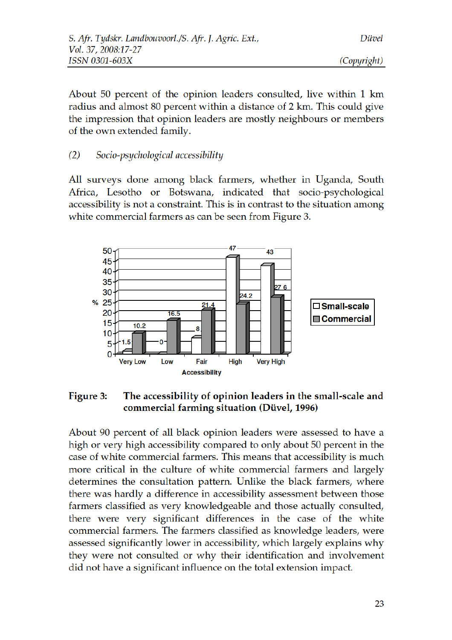About 50 percent of the opinion leaders consulted, live within 1 km radius and almost 80 percent within a distance of 2 km. This could give the impression that opinion leaders are mostly neighbours or members of the own extended family.

#### $(2)$ Socio-psychological accessibility

All surveys done among black farmers, whether in Uganda, South Africa, Lesotho or Botswana, indicated that socio-psychological accessibility is not a constraint. This is in contrast to the situation among white commercial farmers as can be seen from Figure 3.



### Figure 3: The accessibility of opinion leaders in the small-scale and commercial farming situation (Düvel, 1996)

About 90 percent of all black opinion leaders were assessed to have a high or very high accessibility compared to only about 50 percent in the case of white commercial farmers. This means that accessibility is much more critical in the culture of white commercial farmers and largely determines the consultation pattern. Unlike the black farmers, where there was hardly a difference in accessibility assessment between those farmers classified as very knowledgeable and those actually consulted, there were very significant differences in the case of the white commercial farmers. The farmers classified as knowledge leaders, were assessed significantly lower in accessibility, which largely explains why they were not consulted or why their identification and involvement did not have a significant influence on the total extension impact.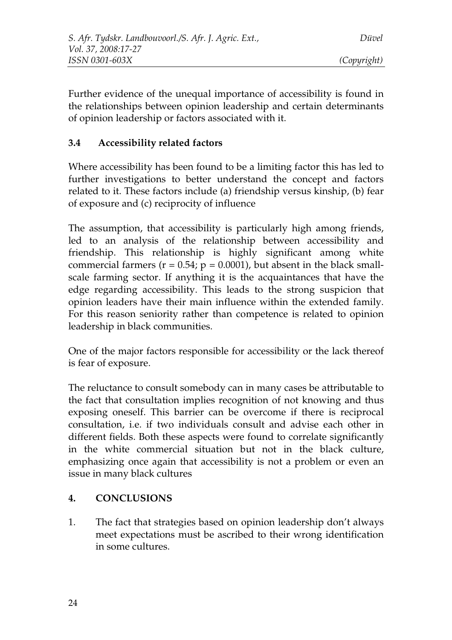Further evidence of the unequal importance of accessibility is found in the relationships between opinion leadership and certain determinants of opinion leadership or factors associated with it.

### **3.4 Accessibility related factors**

Where accessibility has been found to be a limiting factor this has led to further investigations to better understand the concept and factors related to it. These factors include (a) friendship versus kinship, (b) fear of exposure and (c) reciprocity of influence

The assumption, that accessibility is particularly high among friends, led to an analysis of the relationship between accessibility and friendship. This relationship is highly significant among white commercial farmers ( $r = 0.54$ ;  $p = 0.0001$ ), but absent in the black smallscale farming sector. If anything it is the acquaintances that have the edge regarding accessibility. This leads to the strong suspicion that opinion leaders have their main influence within the extended family. For this reason seniority rather than competence is related to opinion leadership in black communities.

One of the major factors responsible for accessibility or the lack thereof is fear of exposure.

The reluctance to consult somebody can in many cases be attributable to the fact that consultation implies recognition of not knowing and thus exposing oneself. This barrier can be overcome if there is reciprocal consultation, i.e. if two individuals consult and advise each other in different fields. Both these aspects were found to correlate significantly in the white commercial situation but not in the black culture, emphasizing once again that accessibility is not a problem or even an issue in many black cultures

## **4. CONCLUSIONS**

1. The fact that strategies based on opinion leadership don't always meet expectations must be ascribed to their wrong identification in some cultures.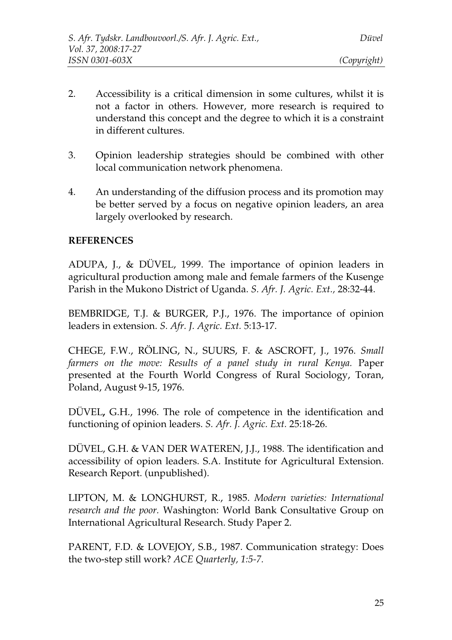- 2. Accessibility is a critical dimension in some cultures, whilst it is not a factor in others. However, more research is required to understand this concept and the degree to which it is a constraint in different cultures.
- 3. Opinion leadership strategies should be combined with other local communication network phenomena.
- 4. An understanding of the diffusion process and its promotion may be better served by a focus on negative opinion leaders, an area largely overlooked by research.

### **REFERENCES**

ADUPA, J., & DÜVEL, 1999. The importance of opinion leaders in agricultural production among male and female farmers of the Kusenge Parish in the Mukono District of Uganda. *S. Afr. J. Agric. Ext.,* 28:32-44.

BEMBRIDGE, T.J. & BURGER, P.J., 1976. The importance of opinion leaders in extension. *S. Afr. J. Agric. Ext.* 5:13-17.

CHEGE, F.W., RÖLING, N., SUURS, F. & ASCROFT, J., 1976. *Small farmers on the move: Results of a panel study in rural Kenya.* Paper presented at the Fourth World Congress of Rural Sociology, Toran, Poland, August 9-15, 1976.

DÜVEL**,** G.H., 1996. The role of competence in the identification and functioning of opinion leaders. *S. Afr. J. Agric. Ext.* 25:18-26.

DÜVEL, G.H. & VAN DER WATEREN, J.J., 1988. The identification and accessibility of opion leaders. S.A. Institute for Agricultural Extension. Research Report. (unpublished).

LIPTON, M. & LONGHURST, R., 1985. *Modern varieties: International research and the poor.* Washington: World Bank Consultative Group on International Agricultural Research. Study Paper 2.

PARENT, F.D. & LOVEJOY, S.B., 1987. Communication strategy: Does the two-step still work? *ACE Quarterly, 1:5-7.*